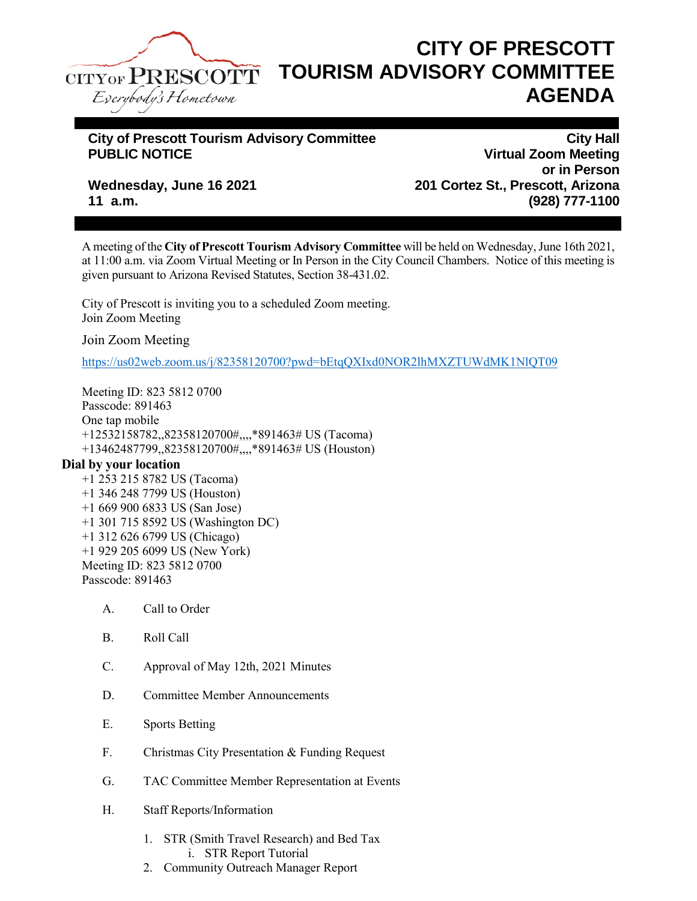

## **CITY OF PRESCOTT TOURISM ADVISORY COMMITTEE AGENDA**

## City of Prescott Tourism Advisory Committee<br>PUBLIC NOTICE **CITY Advisory Committee** Virtual Zoom Meeting

**PUBLIC Virtual Zoom Meeting or in Person Wednesday, June 16 2021 201 Cortez St., Prescott, Arizona 11 a.m. (928) 777-1100**

A meeting of the **City of Prescott Tourism Advisory Committee** will be held on Wednesday, June 16th 2021, at 11:00 a.m. via Zoom Virtual Meeting or In Person in the City Council Chambers. Notice of this meeting is given pursuant to Arizona Revised Statutes, Section 38-431.02.

City of Prescott is inviting you to a scheduled Zoom meeting. Join Zoom Meeting

Join Zoom Meeting

<https://us02web.zoom.us/j/82358120700?pwd=bEtqQXIxd0NOR2lhMXZTUWdMK1NlQT09>

Meeting ID: 823 5812 0700 Passcode: 891463 One tap mobile +12532158782,,82358120700#,,,,\*891463# US (Tacoma) +13462487799,,82358120700#,,,,\*891463# US (Houston)

## **Dial by your location**

- +1 253 215 8782 US (Tacoma) +1 346 248 7799 US (Houston) +1 669 900 6833 US (San Jose) +1 301 715 8592 US (Washington DC) +1 312 626 6799 US (Chicago) +1 929 205 6099 US (New York) Meeting ID: 823 5812 0700 Passcode: 891463
	- A. Call to Order
	- B. Roll Call
	- C. Approval of May 12th, 2021 Minutes
	- D. Committee Member Announcements
	- E. Sports Betting
	- F. Christmas City Presentation & Funding Request
	- G. TAC Committee Member Representation at Events
	- H. Staff Reports/Information
		- 1. STR (Smith Travel Research) and Bed Tax i. STR Report Tutorial
		- 2. Community Outreach Manager Report